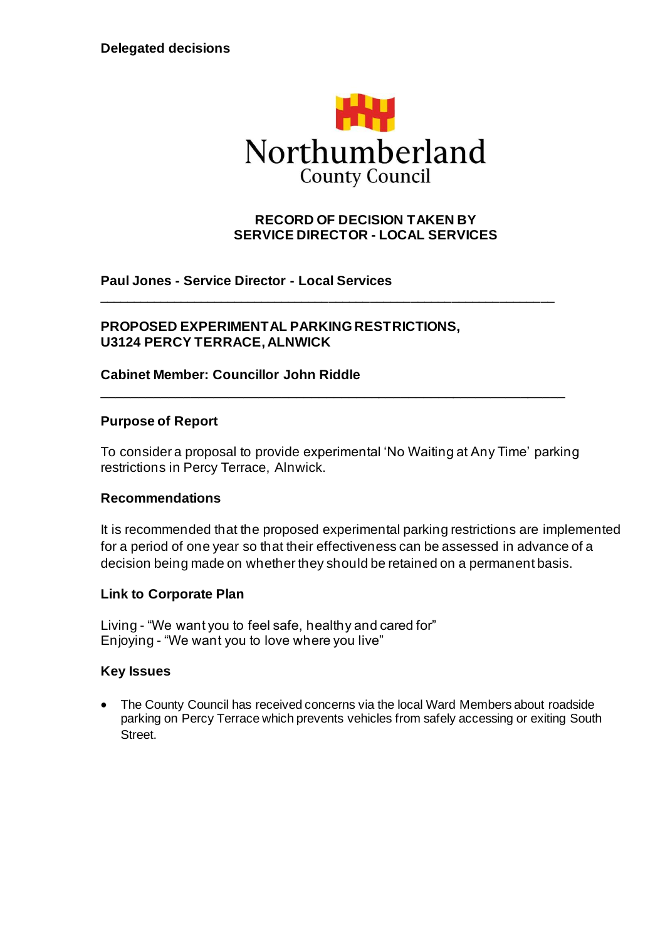

## **RECORD OF DECISION TAKEN BY SERVICE DIRECTOR - LOCAL SERVICES**

**Paul Jones - Service Director - Local Services**

## **PROPOSED EXPERIMENTAL PARKING RESTRICTIONS, U3124 PERCY TERRACE, ALNWICK**

### **Cabinet Member: Councillor John Riddle**

### **Purpose of Report**

To consider a proposal to provide experimental 'No Waiting at Any Time' parking restrictions in Percy Terrace, Alnwick.

\_\_\_\_\_\_\_\_\_\_\_\_\_\_\_\_\_\_\_\_\_\_\_\_\_\_\_\_\_\_\_\_\_\_\_\_\_\_\_\_\_\_\_\_\_\_\_\_\_\_\_\_\_\_\_\_\_\_\_\_\_\_

\_\_\_\_\_\_\_\_\_\_\_\_\_\_\_\_\_\_\_\_\_\_\_\_\_\_\_\_\_\_\_\_\_\_\_\_\_\_\_\_\_\_\_\_\_\_\_\_\_\_\_\_\_\_\_\_\_\_\_\_\_\_\_\_\_\_\_

### **Recommendations**

It is recommended that the proposed experimental parking restrictions are implemented for a period of one year so that their effectiveness can be assessed in advance of a decision being made on whether they should be retained on a permanent basis.

### **Link to Corporate Plan**

Living - "We want you to feel safe, healthy and cared for" Enjoying - "We want you to love where you live"

#### **Key Issues**

• The County Council has received concerns via the local Ward Members about roadside parking on Percy Terrace which prevents vehicles from safely accessing or exiting South Street.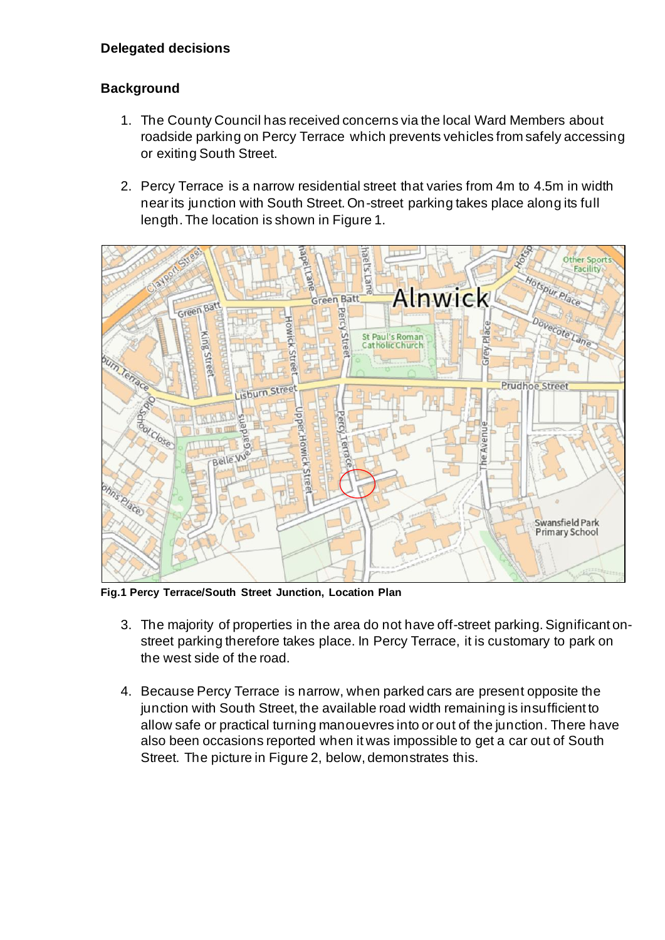## **Background**

- 1. The County Council has received concerns via the local Ward Members about roadside parking on Percy Terrace which prevents vehicles from safely accessing or exiting South Street.
- 2. Percy Terrace is a narrow residential street that varies from 4m to 4.5m in width near its junction with South Street. On-street parking takes place along its full length. The location is shown in Figure 1.



**Fig.1 Percy Terrace/South Street Junction, Location Plan**

- 3. The majority of properties in the area do not have off-street parking. Significant onstreet parking therefore takes place. In Percy Terrace, it is customary to park on the west side of the road.
- 4. Because Percy Terrace is narrow, when parked cars are present opposite the junction with South Street, the available road width remaining is insufficient to allow safe or practical turning manouevres into or out of the junction. There have also been occasions reported when it was impossible to get a car out of South Street. The picture in Figure 2, below, demonstrates this.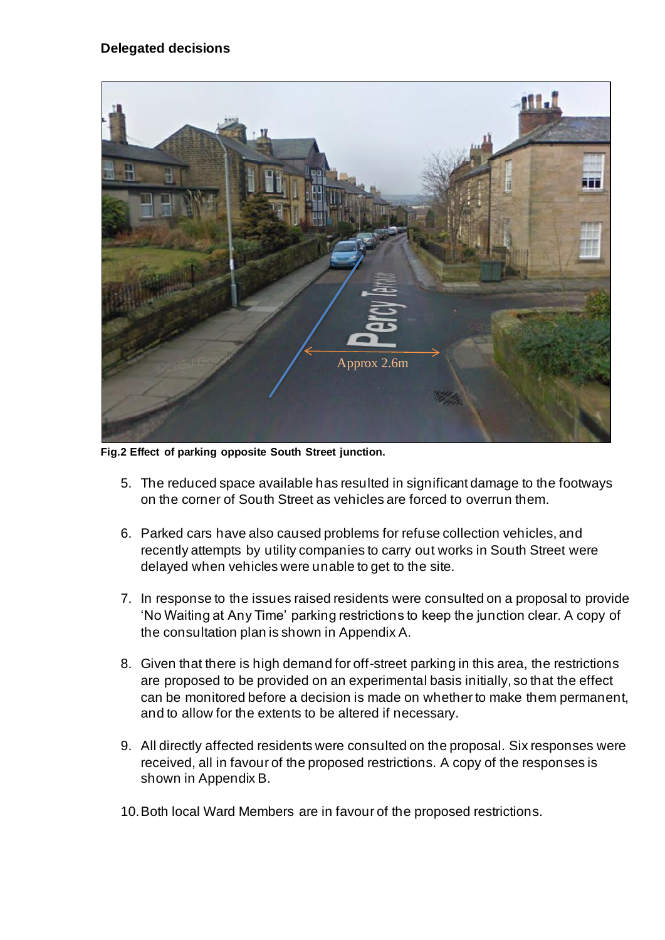## **Delegated decisions**



**Fig.2 Effect of parking opposite South Street junction.**

- 5. The reduced space available has resulted in significant damage to the footways on the corner of South Street as vehicles are forced to overrun them.
- 6. Parked cars have also caused problems for refuse collection vehicles, and recently attempts by utility companies to carry out works in South Street were delayed when vehicles were unable to get to the site.
- 7. In response to the issues raised residents were consulted on a proposal to provide 'No Waiting at Any Time' parking restrictions to keep the junction clear. A copy of the consultation plan is shown in Appendix A.
- 8. Given that there is high demand for off-street parking in this area, the restrictions are proposed to be provided on an experimental basis initially, so that the effect can be monitored before a decision is made on whether to make them permanent, and to allow for the extents to be altered if necessary.
- 9. All directly affected residents were consulted on the proposal. Six responses were received, all in favour of the proposed restrictions. A copy of the responses is shown in Appendix B.
- 10.Both local Ward Members are in favour of the proposed restrictions.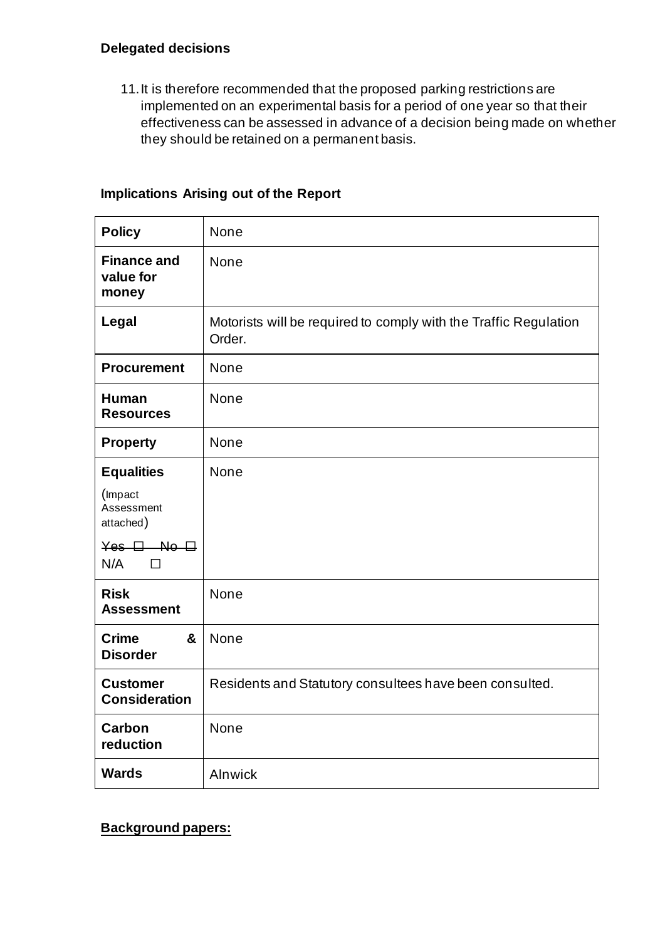11.It is therefore recommended that the proposed parking restrictions are implemented on an experimental basis for a period of one year so that their effectiveness can be assessed in advance of a decision being made on whether they should be retained on a permanent basis.

## **Implications Arising out of the Report**

| <b>Policy</b>                            | None                                                                       |
|------------------------------------------|----------------------------------------------------------------------------|
| <b>Finance and</b><br>value for<br>money | None                                                                       |
| Legal                                    | Motorists will be required to comply with the Traffic Regulation<br>Order. |
| <b>Procurement</b>                       | None                                                                       |
| <b>Human</b><br><b>Resources</b>         | None                                                                       |
| <b>Property</b>                          | None                                                                       |
| <b>Equalities</b>                        | None                                                                       |
| (Impact<br>Assessment<br>attached)       |                                                                            |
| $Yes - B - No - B$<br>N/A<br>П           |                                                                            |
| <b>Risk</b><br><b>Assessment</b>         | None                                                                       |
| &<br><b>Crime</b><br><b>Disorder</b>     | None                                                                       |
| <b>Customer</b><br><b>Consideration</b>  | Residents and Statutory consultees have been consulted.                    |
| Carbon<br>reduction                      | None                                                                       |
| <b>Wards</b>                             | Alnwick                                                                    |

**Background papers:**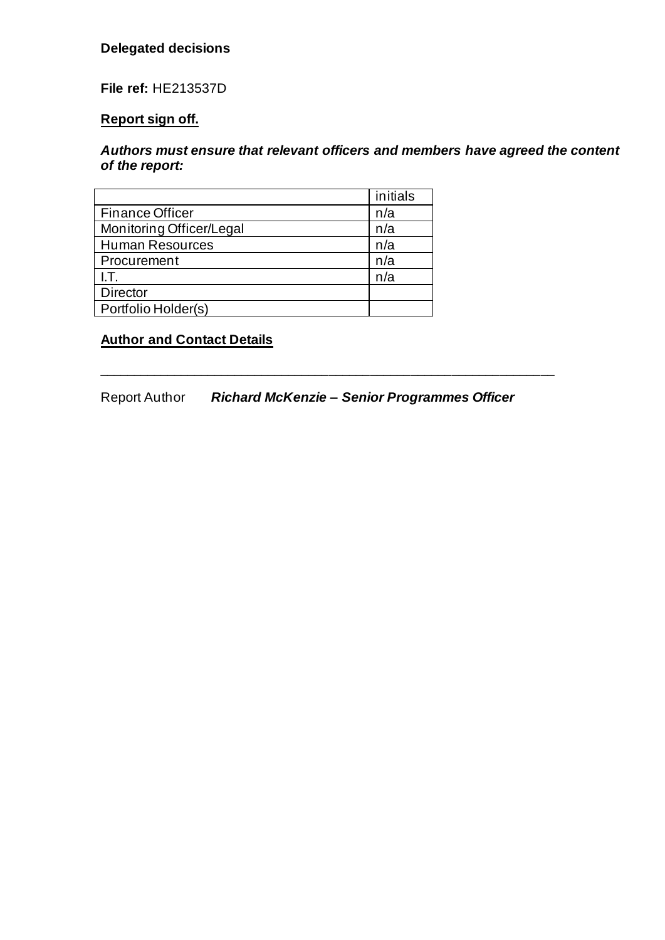## **Delegated decisions**

**File ref:** HE213537D

## **Report sign off.**

## *Authors must ensure that relevant officers and members have agreed the content of the report:*

|                                 | initials |
|---------------------------------|----------|
| <b>Finance Officer</b><br>n/a   |          |
| Monitoring Officer/Legal<br>n/a |          |
| <b>Human Resources</b><br>n/a   |          |
| n/a<br>Procurement              |          |
| n/a<br>I.T.                     |          |
| <b>Director</b>                 |          |
| Portfolio Holder(s)             |          |

## **Author and Contact Details**

Report Author *Richard McKenzie – Senior Programmes Officer*

\_\_\_\_\_\_\_\_\_\_\_\_\_\_\_\_\_\_\_\_\_\_\_\_\_\_\_\_\_\_\_\_\_\_\_\_\_\_\_\_\_\_\_\_\_\_\_\_\_\_\_\_\_\_\_\_\_\_\_\_\_\_\_\_\_\_\_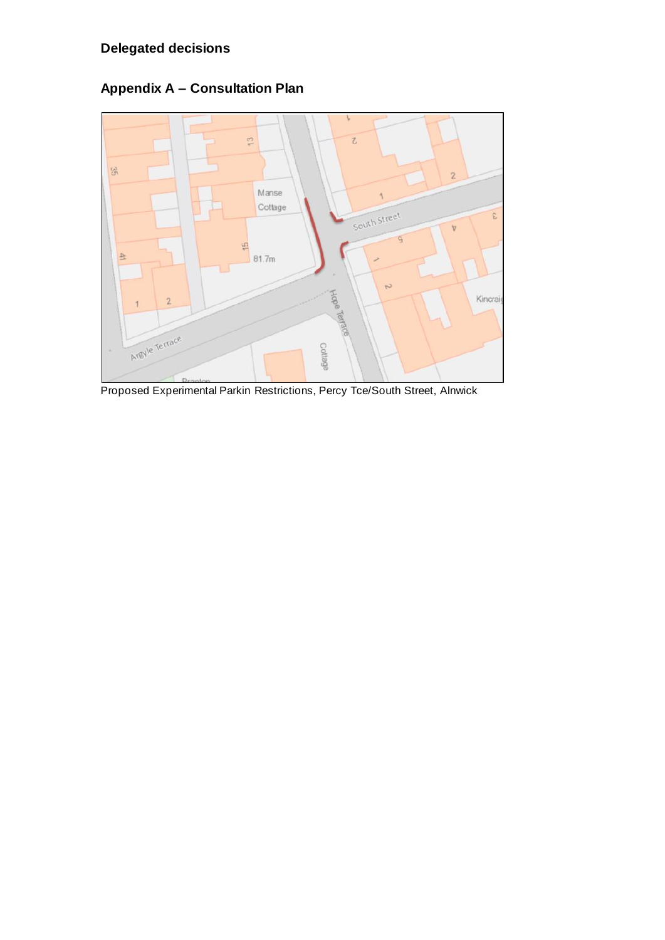

**Appendix A – Consultation Plan**

Proposed Experimental Parkin Restrictions, Percy Tce/South Street, Alnwick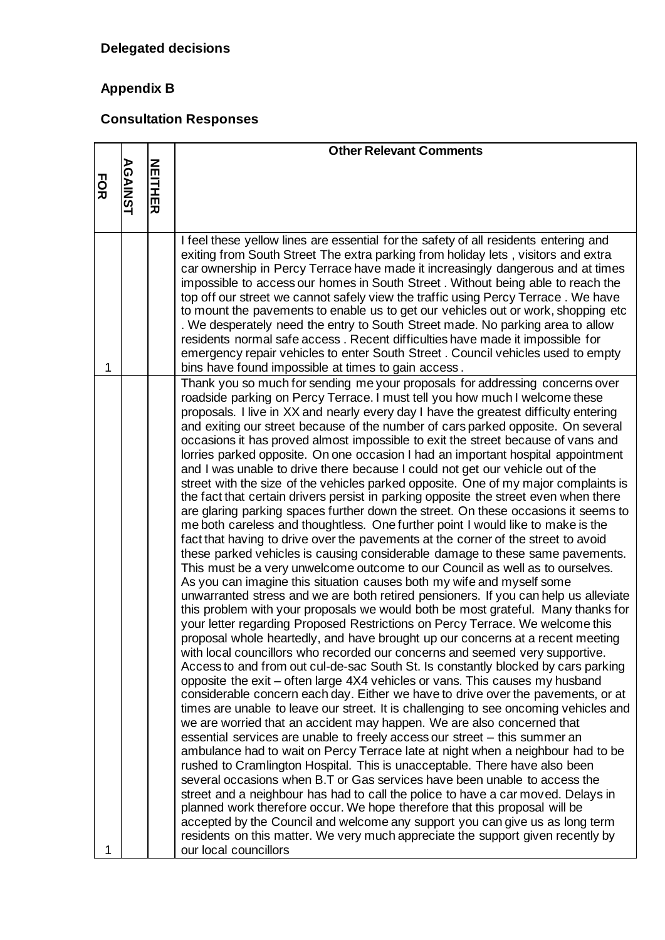# **Appendix B**

## **Consultation Responses**

|            |                |         | <b>Other Relevant Comments</b>                                                                                                                                                                                                                                                                                                                                                                                                                                                                                                                                                                                                                                                                                                                                                                                                                                                                                                                                                                                                                                                                                                                                                                                                                                                                                                                                                                                                                                                                                                                                                                                                                                                                                                                                                                                                                                                                                                                                                                                                                                                                                                                                                                                                                                                                                                                                                                                                                                                                                                                                                                                                                                                                                                                                                                                                               |
|------------|----------------|---------|----------------------------------------------------------------------------------------------------------------------------------------------------------------------------------------------------------------------------------------------------------------------------------------------------------------------------------------------------------------------------------------------------------------------------------------------------------------------------------------------------------------------------------------------------------------------------------------------------------------------------------------------------------------------------------------------------------------------------------------------------------------------------------------------------------------------------------------------------------------------------------------------------------------------------------------------------------------------------------------------------------------------------------------------------------------------------------------------------------------------------------------------------------------------------------------------------------------------------------------------------------------------------------------------------------------------------------------------------------------------------------------------------------------------------------------------------------------------------------------------------------------------------------------------------------------------------------------------------------------------------------------------------------------------------------------------------------------------------------------------------------------------------------------------------------------------------------------------------------------------------------------------------------------------------------------------------------------------------------------------------------------------------------------------------------------------------------------------------------------------------------------------------------------------------------------------------------------------------------------------------------------------------------------------------------------------------------------------------------------------------------------------------------------------------------------------------------------------------------------------------------------------------------------------------------------------------------------------------------------------------------------------------------------------------------------------------------------------------------------------------------------------------------------------------------------------------------------------|
| <b>FOR</b> | <b>AGAINST</b> | NEITHER |                                                                                                                                                                                                                                                                                                                                                                                                                                                                                                                                                                                                                                                                                                                                                                                                                                                                                                                                                                                                                                                                                                                                                                                                                                                                                                                                                                                                                                                                                                                                                                                                                                                                                                                                                                                                                                                                                                                                                                                                                                                                                                                                                                                                                                                                                                                                                                                                                                                                                                                                                                                                                                                                                                                                                                                                                                              |
| 1          |                |         | I feel these yellow lines are essential for the safety of all residents entering and<br>exiting from South Street The extra parking from holiday lets, visitors and extra<br>car ownership in Percy Terrace have made it increasingly dangerous and at times<br>impossible to access our homes in South Street. Without being able to reach the<br>top off our street we cannot safely view the traffic using Percy Terrace. We have<br>to mount the pavements to enable us to get our vehicles out or work, shopping etc<br>. We desperately need the entry to South Street made. No parking area to allow<br>residents normal safe access. Recent difficulties have made it impossible for<br>emergency repair vehicles to enter South Street. Council vehicles used to empty<br>bins have found impossible at times to gain access.                                                                                                                                                                                                                                                                                                                                                                                                                                                                                                                                                                                                                                                                                                                                                                                                                                                                                                                                                                                                                                                                                                                                                                                                                                                                                                                                                                                                                                                                                                                                                                                                                                                                                                                                                                                                                                                                                                                                                                                                       |
| 1          |                |         | Thank you so much for sending me your proposals for addressing concerns over<br>roadside parking on Percy Terrace. I must tell you how much I welcome these<br>proposals. I live in XX and nearly every day I have the greatest difficulty entering<br>and exiting our street because of the number of cars parked opposite. On several<br>occasions it has proved almost impossible to exit the street because of vans and<br>lorries parked opposite. On one occasion I had an important hospital appointment<br>and I was unable to drive there because I could not get our vehicle out of the<br>street with the size of the vehicles parked opposite. One of my major complaints is<br>the fact that certain drivers persist in parking opposite the street even when there<br>are glaring parking spaces further down the street. On these occasions it seems to<br>me both careless and thoughtless. One further point I would like to make is the<br>fact that having to drive over the pavements at the corner of the street to avoid<br>these parked vehicles is causing considerable damage to these same pavements.<br>This must be a very unwelcome outcome to our Council as well as to ourselves.<br>As you can imagine this situation causes both my wife and myself some<br>unwarranted stress and we are both retired pensioners. If you can help us alleviate<br>this problem with your proposals we would both be most grateful. Many thanks for<br>your letter regarding Proposed Restrictions on Percy Terrace. We welcome this<br>proposal whole heartedly, and have brought up our concerns at a recent meeting<br>with local councillors who recorded our concerns and seemed very supportive.<br>Access to and from out cul-de-sac South St. Is constantly blocked by cars parking<br>opposite the exit – often large 4X4 vehicles or vans. This causes my husband<br>considerable concern each day. Either we have to drive over the pavements, or at<br>times are unable to leave our street. It is challenging to see oncoming vehicles and<br>we are worried that an accident may happen. We are also concerned that<br>essential services are unable to freely access our street – this summer an<br>ambulance had to wait on Percy Terrace late at night when a neighbour had to be<br>rushed to Cramlington Hospital. This is unacceptable. There have also been<br>several occasions when B.T or Gas services have been unable to access the<br>street and a neighbour has had to call the police to have a car moved. Delays in<br>planned work therefore occur. We hope therefore that this proposal will be<br>accepted by the Council and welcome any support you can give us as long term<br>residents on this matter. We very much appreciate the support given recently by<br>our local councillors |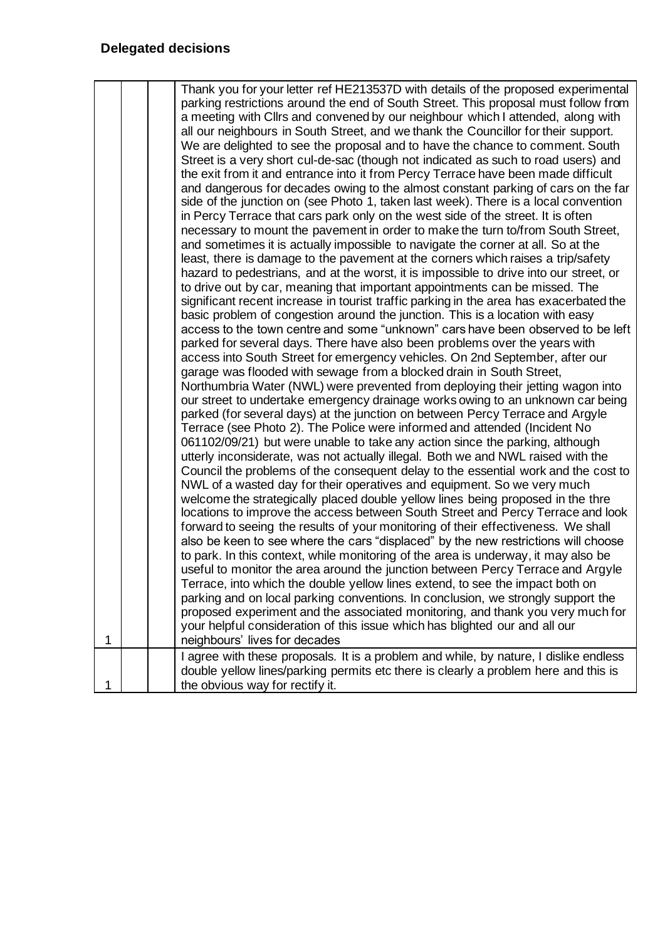| 1 | Thank you for your letter ref HE213537D with details of the proposed experimental<br>parking restrictions around the end of South Street. This proposal must follow from<br>a meeting with Cllrs and convened by our neighbour which I attended, along with<br>all our neighbours in South Street, and we thank the Councillor for their support.<br>We are delighted to see the proposal and to have the chance to comment. South<br>Street is a very short cul-de-sac (though not indicated as such to road users) and<br>the exit from it and entrance into it from Percy Terrace have been made difficult<br>and dangerous for decades owing to the almost constant parking of cars on the far<br>side of the junction on (see Photo 1, taken last week). There is a local convention<br>in Percy Terrace that cars park only on the west side of the street. It is often<br>necessary to mount the pavement in order to make the turn to/from South Street,<br>and sometimes it is actually impossible to navigate the corner at all. So at the<br>least, there is damage to the pavement at the corners which raises a trip/safety<br>hazard to pedestrians, and at the worst, it is impossible to drive into our street, or<br>to drive out by car, meaning that important appointments can be missed. The<br>significant recent increase in tourist traffic parking in the area has exacerbated the<br>basic problem of congestion around the junction. This is a location with easy<br>access to the town centre and some "unknown" cars have been observed to be left<br>parked for several days. There have also been problems over the years with<br>access into South Street for emergency vehicles. On 2nd September, after our<br>garage was flooded with sewage from a blocked drain in South Street,<br>Northumbria Water (NWL) were prevented from deploying their jetting wagon into<br>our street to undertake emergency drainage works owing to an unknown car being<br>parked (for several days) at the junction on between Percy Terrace and Argyle<br>Terrace (see Photo 2). The Police were informed and attended (Incident No<br>061102/09/21) but were unable to take any action since the parking, although<br>utterly inconsiderate, was not actually illegal. Both we and NWL raised with the<br>Council the problems of the consequent delay to the essential work and the cost to<br>NWL of a wasted day for their operatives and equipment. So we very much<br>welcome the strategically placed double yellow lines being proposed in the thre<br>locations to improve the access between South Street and Percy Terrace and look<br>forward to seeing the results of your monitoring of their effectiveness. We shall<br>also be keen to see where the cars "displaced" by the new restrictions will choose<br>to park. In this context, while monitoring of the area is underway, it may also be<br>useful to monitor the area around the junction between Percy Terrace and Argyle<br>Terrace, into which the double yellow lines extend, to see the impact both on<br>parking and on local parking conventions. In conclusion, we strongly support the<br>proposed experiment and the associated monitoring, and thank you very much for<br>your helpful consideration of this issue which has blighted our and all our<br>neighbours' lives for decades |
|---|-----------------------------------------------------------------------------------------------------------------------------------------------------------------------------------------------------------------------------------------------------------------------------------------------------------------------------------------------------------------------------------------------------------------------------------------------------------------------------------------------------------------------------------------------------------------------------------------------------------------------------------------------------------------------------------------------------------------------------------------------------------------------------------------------------------------------------------------------------------------------------------------------------------------------------------------------------------------------------------------------------------------------------------------------------------------------------------------------------------------------------------------------------------------------------------------------------------------------------------------------------------------------------------------------------------------------------------------------------------------------------------------------------------------------------------------------------------------------------------------------------------------------------------------------------------------------------------------------------------------------------------------------------------------------------------------------------------------------------------------------------------------------------------------------------------------------------------------------------------------------------------------------------------------------------------------------------------------------------------------------------------------------------------------------------------------------------------------------------------------------------------------------------------------------------------------------------------------------------------------------------------------------------------------------------------------------------------------------------------------------------------------------------------------------------------------------------------------------------------------------------------------------------------------------------------------------------------------------------------------------------------------------------------------------------------------------------------------------------------------------------------------------------------------------------------------------------------------------------------------------------------------------------------------------------------------------------------------------------------------------------------------------------------------------------------------------------------------------------------------------------------------------------------------------------------------------------------------------------------------------------------------------------------------------------------------------------------------------------------------------------------------------|
|   | I agree with these proposals. It is a problem and while, by nature, I dislike endless<br>double yellow lines/parking permits etc there is clearly a problem here and this is                                                                                                                                                                                                                                                                                                                                                                                                                                                                                                                                                                                                                                                                                                                                                                                                                                                                                                                                                                                                                                                                                                                                                                                                                                                                                                                                                                                                                                                                                                                                                                                                                                                                                                                                                                                                                                                                                                                                                                                                                                                                                                                                                                                                                                                                                                                                                                                                                                                                                                                                                                                                                                                                                                                                                                                                                                                                                                                                                                                                                                                                                                                                                                                                                  |
| 1 | the obvious way for rectify it.                                                                                                                                                                                                                                                                                                                                                                                                                                                                                                                                                                                                                                                                                                                                                                                                                                                                                                                                                                                                                                                                                                                                                                                                                                                                                                                                                                                                                                                                                                                                                                                                                                                                                                                                                                                                                                                                                                                                                                                                                                                                                                                                                                                                                                                                                                                                                                                                                                                                                                                                                                                                                                                                                                                                                                                                                                                                                                                                                                                                                                                                                                                                                                                                                                                                                                                                                               |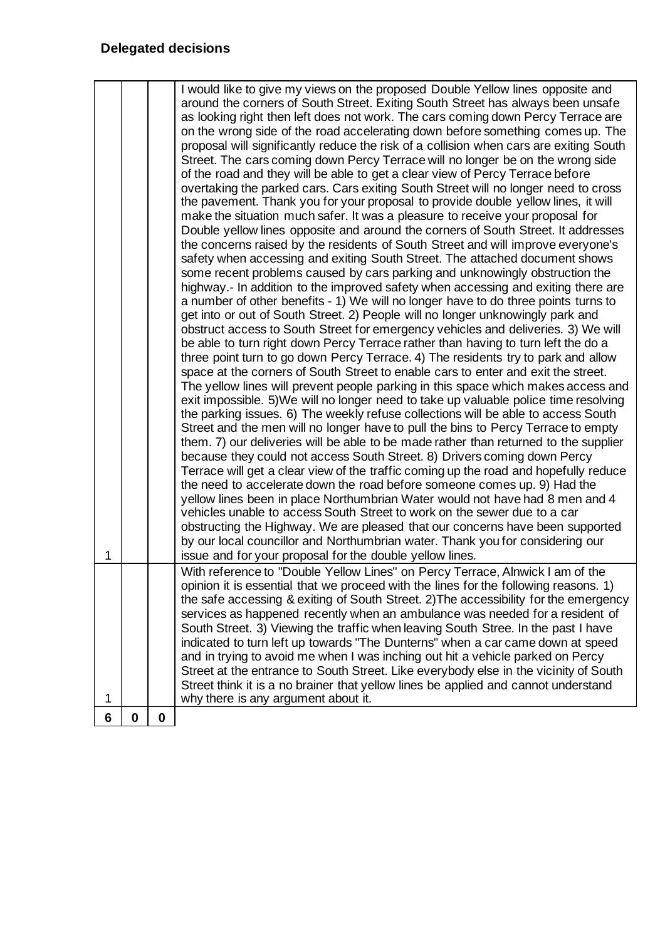| 0<br>6 | $\mathbf 0$ |                                                                                                                                                                                                                                                                                                                                                                                                                                                                                                                                                                                                                                                                                                                                                                                                                                                                                                                                                                                                                                                                                                                                                                                                                                                                                                                                                                                                                                                                                                                                                                                                                                                                                                                                                                                                                                                                                                                                                                                                                                                                                                                                                                                                                                                                                                                                                                                                                                                                                                                                                                                                                                                                                                                                                                                                                                                                                                                   |
|--------|-------------|-------------------------------------------------------------------------------------------------------------------------------------------------------------------------------------------------------------------------------------------------------------------------------------------------------------------------------------------------------------------------------------------------------------------------------------------------------------------------------------------------------------------------------------------------------------------------------------------------------------------------------------------------------------------------------------------------------------------------------------------------------------------------------------------------------------------------------------------------------------------------------------------------------------------------------------------------------------------------------------------------------------------------------------------------------------------------------------------------------------------------------------------------------------------------------------------------------------------------------------------------------------------------------------------------------------------------------------------------------------------------------------------------------------------------------------------------------------------------------------------------------------------------------------------------------------------------------------------------------------------------------------------------------------------------------------------------------------------------------------------------------------------------------------------------------------------------------------------------------------------------------------------------------------------------------------------------------------------------------------------------------------------------------------------------------------------------------------------------------------------------------------------------------------------------------------------------------------------------------------------------------------------------------------------------------------------------------------------------------------------------------------------------------------------------------------------------------------------------------------------------------------------------------------------------------------------------------------------------------------------------------------------------------------------------------------------------------------------------------------------------------------------------------------------------------------------------------------------------------------------------------------------------------------------|
| 1      |             | With reference to "Double Yellow Lines" on Percy Terrace, Alnwick I am of the<br>opinion it is essential that we proceed with the lines for the following reasons. 1)<br>the safe accessing & exiting of South Street. 2) The accessibility for the emergency<br>services as happened recently when an ambulance was needed for a resident of<br>South Street. 3) Viewing the traffic when leaving South Stree. In the past I have<br>indicated to turn left up towards "The Dunterns" when a car came down at speed<br>and in trying to avoid me when I was inching out hit a vehicle parked on Percy<br>Street at the entrance to South Street. Like everybody else in the vicinity of South<br>Street think it is a no brainer that yellow lines be applied and cannot understand<br>why there is any argument about it.                                                                                                                                                                                                                                                                                                                                                                                                                                                                                                                                                                                                                                                                                                                                                                                                                                                                                                                                                                                                                                                                                                                                                                                                                                                                                                                                                                                                                                                                                                                                                                                                                                                                                                                                                                                                                                                                                                                                                                                                                                                                                       |
| 1      |             | I would like to give my views on the proposed Double Yellow lines opposite and<br>around the corners of South Street. Exiting South Street has always been unsafe<br>as looking right then left does not work. The cars coming down Percy Terrace are<br>on the wrong side of the road accelerating down before something comes up. The<br>proposal will significantly reduce the risk of a collision when cars are exiting South<br>Street. The cars coming down Percy Terrace will no longer be on the wrong side<br>of the road and they will be able to get a clear view of Percy Terrace before<br>overtaking the parked cars. Cars exiting South Street will no longer need to cross<br>the pavement. Thank you for your proposal to provide double yellow lines, it will<br>make the situation much safer. It was a pleasure to receive your proposal for<br>Double yellow lines opposite and around the corners of South Street. It addresses<br>the concerns raised by the residents of South Street and will improve everyone's<br>safety when accessing and exiting South Street. The attached document shows<br>some recent problems caused by cars parking and unknowingly obstruction the<br>highway.- In addition to the improved safety when accessing and exiting there are<br>a number of other benefits - 1) We will no longer have to do three points turns to<br>get into or out of South Street. 2) People will no longer unknowingly park and<br>obstruct access to South Street for emergency vehicles and deliveries. 3) We will<br>be able to turn right down Percy Terrace rather than having to turn left the do a<br>three point turn to go down Percy Terrace. 4) The residents try to park and allow<br>space at the corners of South Street to enable cars to enter and exit the street.<br>The yellow lines will prevent people parking in this space which makes access and<br>exit impossible. 5) We will no longer need to take up valuable police time resolving<br>the parking issues. 6) The weekly refuse collections will be able to access South<br>Street and the men will no longer have to pull the bins to Percy Terrace to empty<br>them. 7) our deliveries will be able to be made rather than returned to the supplier<br>because they could not access South Street. 8) Drivers coming down Percy<br>Terrace will get a clear view of the traffic coming up the road and hopefully reduce<br>the need to accelerate down the road before someone comes up. 9) Had the<br>yellow lines been in place Northumbrian Water would not have had 8 men and 4<br>vehicles unable to access South Street to work on the sewer due to a car<br>obstructing the Highway. We are pleased that our concerns have been supported<br>by our local councillor and Northumbrian water. Thank you for considering our<br>issue and for your proposal for the double yellow lines. |